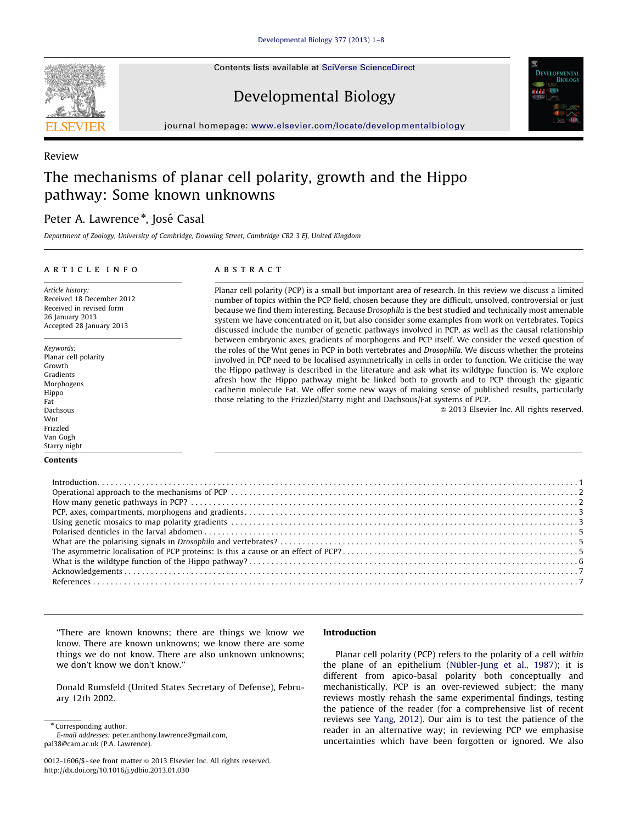Contents lists available at [SciVerse ScienceDirect](www.elsevier.com/locate/developmentalbiology)



Review



# Developmental Biology

journal homepage: <www.elsevier.com/locate/developmentalbiology>

# The mechanisms of planar cell polarity, growth and the Hippo pathway: Some known unknowns

# Peter A. Lawrence<sup>\*</sup>, José Casal

Department of Zoology, University of Cambridge, Downing Street, Cambridge CB2 3 EJ, United Kingdom

# article info

Article history: Received 18 December 2012 Received in revised form 26 January 2013 Accepted 28 January 2013

Keywords: Planar cell polarity Growth Gradients Morphogens Hippo Fat Dachsous Wnt Frizzled Van Gogh Starry night

# Contents

# ABSTRACT

Planar cell polarity (PCP) is a small but important area of research. In this review we discuss a limited number of topics within the PCP field, chosen because they are difficult, unsolved, controversial or just because we find them interesting. Because Drosophila is the best studied and technically most amenable system we have concentrated on it, but also consider some examples from work on vertebrates. Topics discussed include the number of genetic pathways involved in PCP, as well as the causal relationship between embryonic axes, gradients of morphogens and PCP itself. We consider the vexed question of the roles of the Wnt genes in PCP in both vertebrates and Drosophila. We discuss whether the proteins involved in PCP need to be localised asymmetrically in cells in order to function. We criticise the way the Hippo pathway is described in the literature and ask what its wildtype function is. We explore afresh how the Hippo pathway might be linked both to growth and to PCP through the gigantic cadherin molecule Fat. We offer some new ways of making sense of published results, particularly those relating to the Frizzled/Starry night and Dachsous/Fat systems of PCP.

 $©$  2013 Elsevier Inc. All rights reserved.

''There are known knowns; there are things we know we know. There are known unknowns; we know there are some things we do not know. There are also unknown unknowns; we don't know we don't know.''

Donald Rumsfeld (United States Secretary of Defense), February 12th 2002.

# Introduction

Planar cell polarity (PCP) refers to the polarity of a cell within the plane of an epithelium (Nübler-Jung et al., 1987); it is different from apico-basal polarity both conceptually and mechanistically. PCP is an over-reviewed subject; the many reviews mostly rehash the same experimental findings, testing the patience of the reader (for a comprehensive list of recent reviews see [Yang, 2012](#page-7-0)). Our aim is to test the patience of the reader in an alternative way; in reviewing PCP we emphasise uncertainties which have been forgotten or ignored. We also

<sup>\*</sup> Corresponding author. E-mail addresses: [peter.anthony.lawrence@gmail.com,](mailto:peter.anthony.lawrence@gmail.com) [pal38@cam.ac.uk \(P.A. Lawrence\).](mailto:pal38@cam.ac.uk)

<sup>0012-1606/\$ -</sup> see front matter  $\circ$  2013 Elsevier Inc. All rights reserved. <http://dx.doi.org/10.1016/j.ydbio.2013.01.030>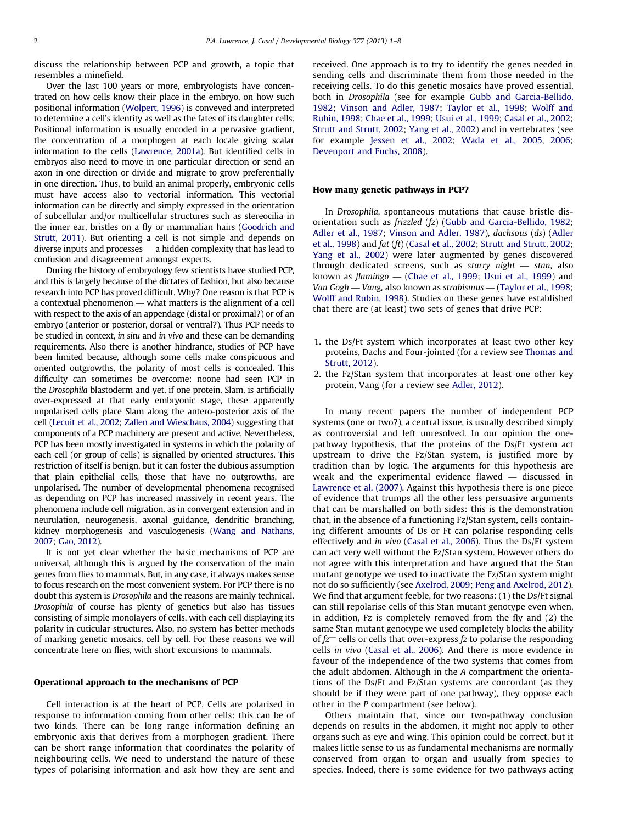discuss the relationship between PCP and growth, a topic that resembles a minefield.

Over the last 100 years or more, embryologists have concentrated on how cells know their place in the embryo, on how such positional information [\(Wolpert, 1996](#page-7-0)) is conveyed and interpreted to determine a cell's identity as well as the fates of its daughter cells. Positional information is usually encoded in a pervasive gradient, the concentration of a morphogen at each locale giving scalar information to the cells ([Lawrence, 2001a\)](#page-6-0). But identified cells in embryos also need to move in one particular direction or send an axon in one direction or divide and migrate to grow preferentially in one direction. Thus, to build an animal properly, embryonic cells must have access also to vectorial information. This vectorial information can be directly and simply expressed in the orientation of subcellular and/or multicellular structures such as stereocilia in the inner ear, bristles on a fly or mammalian hairs [\(Goodrich and](#page-6-0) [Strutt, 2011](#page-6-0)). But orienting a cell is not simple and depends on diverse inputs and processes — a hidden complexity that has lead to confusion and disagreement amongst experts.

During the history of embryology few scientists have studied PCP, and this is largely because of the dictates of fashion, but also because research into PCP has proved difficult. Why? One reason is that PCP is a contextual phenomenon — what matters is the alignment of a cell with respect to the axis of an appendage (distal or proximal?) or of an embryo (anterior or posterior, dorsal or ventral?). Thus PCP needs to be studied in context, in situ and in vivo and these can be demanding requirements. Also there is another hindrance, studies of PCP have been limited because, although some cells make conspicuous and oriented outgrowths, the polarity of most cells is concealed. This difficulty can sometimes be overcome: noone had seen PCP in the Drosophila blastoderm and yet, if one protein, Slam, is artificially over-expressed at that early embryonic stage, these apparently unpolarised cells place Slam along the antero-posterior axis of the cell ([Lecuit et al., 2002;](#page-6-0) [Zallen and Wieschaus, 2004](#page-7-0)) suggesting that components of a PCP machinery are present and active. Nevertheless, PCP has been mostly investigated in systems in which the polarity of each cell (or group of cells) is signalled by oriented structures. This restriction of itself is benign, but it can foster the dubious assumption that plain epithelial cells, those that have no outgrowths, are unpolarised. The number of developmental phenomena recognised as depending on PCP has increased massively in recent years. The phenomena include cell migration, as in convergent extension and in neurulation, neurogenesis, axonal guidance, dendritic branching, kidney morphogenesis and vasculogenesis [\(Wang and Nathans,](#page-7-0) [2007;](#page-7-0) [Gao, 2012](#page-6-0)).

It is not yet clear whether the basic mechanisms of PCP are universal, although this is argued by the conservation of the main genes from flies to mammals. But, in any case, it always makes sense to focus research on the most convenient system. For PCP there is no doubt this system is Drosophila and the reasons are mainly technical. Drosophila of course has plenty of genetics but also has tissues consisting of simple monolayers of cells, with each cell displaying its polarity in cuticular structures. Also, no system has better methods of marking genetic mosaics, cell by cell. For these reasons we will concentrate here on flies, with short excursions to mammals.

# Operational approach to the mechanisms of PCP

Cell interaction is at the heart of PCP. Cells are polarised in response to information coming from other cells: this can be of two kinds. There can be long range information defining an embryonic axis that derives from a morphogen gradient. There can be short range information that coordinates the polarity of neighbouring cells. We need to understand the nature of these types of polarising information and ask how they are sent and received. One approach is to try to identify the genes needed in sending cells and discriminate them from those needed in the receiving cells. To do this genetic mosaics have proved essential, both in Drosophila (see for example [Gubb and Garcia-Bellido,](#page-6-0) [1982;](#page-6-0) [Vinson and Adler, 1987;](#page-7-0) [Taylor et al., 1998;](#page-7-0) [Wolff and](#page-7-0) [Rubin, 1998](#page-7-0); [Chae et al., 1999](#page-6-0); [Usui et al., 1999](#page-7-0); [Casal et al., 2002;](#page-6-0) [Strutt and Strutt, 2002;](#page-7-0) [Yang et al., 2002\)](#page-7-0) and in vertebrates (see for example [Jessen et al., 2002](#page-6-0); [Wada et al., 2005,](#page-7-0) [2006;](#page-7-0) [Devenport and Fuchs, 2008](#page-6-0)).

# How many genetic pathways in PCP?

In Drosophila, spontaneous mutations that cause bristle disorientation such as frizzled (fz) [\(Gubb and Garcia-Bellido, 1982;](#page-6-0) [Adler et al., 1987](#page-6-0); [Vinson and Adler, 1987](#page-7-0)), dachsous (ds) [\(Adler](#page-6-0) [et al., 1998\)](#page-6-0) and fat (ft) ([Casal et al., 2002;](#page-6-0) [Strutt and Strutt, 2002;](#page-7-0) [Yang et al., 2002](#page-7-0)) were later augmented by genes discovered through dedicated screens, such as starry night — stan, also known as flamingo — ([Chae et al., 1999](#page-6-0); [Usui et al., 1999\)](#page-7-0) and Van Gogh — Vang, also known as strabismus — [\(Taylor et al., 1998;](#page-7-0) [Wolff and Rubin, 1998](#page-7-0)). Studies on these genes have established that there are (at least) two sets of genes that drive PCP:

- 1. the Ds/Ft system which incorporates at least two other key proteins, Dachs and Four-jointed (for a review see [Thomas and](#page-7-0) [Strutt, 2012\)](#page-7-0).
- 2. the Fz/Stan system that incorporates at least one other key protein, Vang (for a review see [Adler, 2012](#page-6-0)).

In many recent papers the number of independent PCP systems (one or two?), a central issue, is usually described simply as controversial and left unresolved. In our opinion the onepathway hypothesis, that the proteins of the Ds/Ft system act upstream to drive the Fz/Stan system, is justified more by tradition than by logic. The arguments for this hypothesis are weak and the experimental evidence flawed — discussed in [Lawrence et al. \(2007\).](#page-6-0) Against this hypothesis there is one piece of evidence that trumps all the other less persuasive arguments that can be marshalled on both sides: this is the demonstration that, in the absence of a functioning Fz/Stan system, cells containing different amounts of Ds or Ft can polarise responding cells effectively and in vivo ([Casal et al., 2006](#page-6-0)). Thus the Ds/Ft system can act very well without the Fz/Stan system. However others do not agree with this interpretation and have argued that the Stan mutant genotype we used to inactivate the Fz/Stan system might not do so sufficiently (see [Axelrod, 2009](#page-6-0); [Peng and Axelrod, 2012\)](#page-6-0). We find that argument feeble, for two reasons: (1) the Ds/Ft signal can still repolarise cells of this Stan mutant genotype even when, in addition, Fz is completely removed from the fly and (2) the same Stan mutant genotype we used completely blocks the ability of  $fz$  cells or cells that over-express  $fz$  to polarise the responding cells in vivo [\(Casal et al., 2006](#page-6-0)). And there is more evidence in favour of the independence of the two systems that comes from the adult abdomen. Although in the A compartment the orientations of the Ds/Ft and Fz/Stan systems are concordant (as they should be if they were part of one pathway), they oppose each other in the P compartment (see below).

Others maintain that, since our two-pathway conclusion depends on results in the abdomen, it might not apply to other organs such as eye and wing. This opinion could be correct, but it makes little sense to us as fundamental mechanisms are normally conserved from organ to organ and usually from species to species. Indeed, there is some evidence for two pathways acting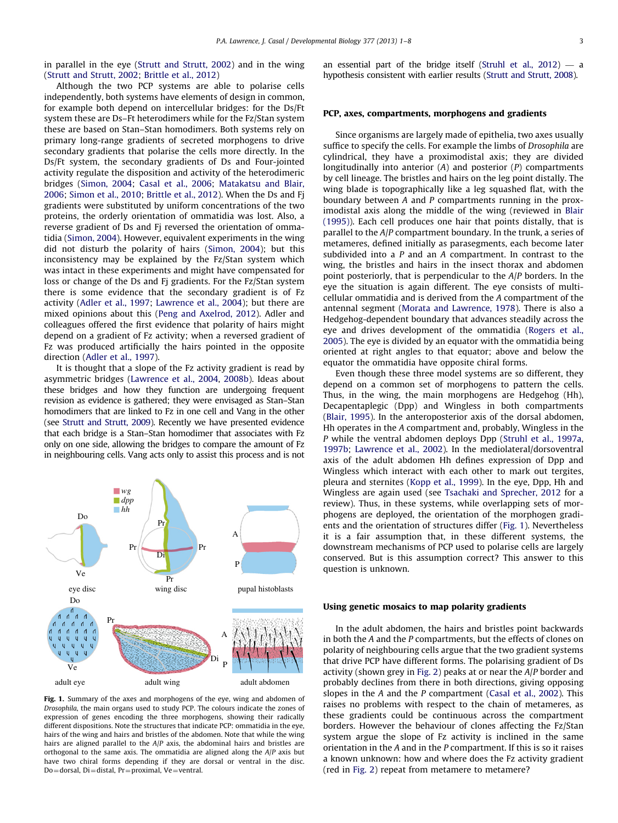in parallel in the eye ([Strutt and Strutt, 2002\)](#page-7-0) and in the wing ([Strutt and Strutt, 2002](#page-7-0); [Brittle et al., 2012\)](#page-6-0)

Although the two PCP systems are able to polarise cells independently, both systems have elements of design in common, for example both depend on intercellular bridges: for the Ds/Ft system these are Ds–Ft heterodimers while for the Fz/Stan system these are based on Stan–Stan homodimers. Both systems rely on primary long-range gradients of secreted morphogens to drive secondary gradients that polarise the cells more directly. In the Ds/Ft system, the secondary gradients of Ds and Four-jointed activity regulate the disposition and activity of the heterodimeric bridges ([Simon, 2004](#page-6-0); [Casal et al., 2006](#page-6-0); [Matakatsu and Blair,](#page-6-0) [2006;](#page-6-0) [Simon et al., 2010](#page-6-0); [Brittle et al., 2012](#page-6-0)). When the Ds and Fj gradients were substituted by uniform concentrations of the two proteins, the orderly orientation of ommatidia was lost. Also, a reverse gradient of Ds and Fj reversed the orientation of ommatidia [\(Simon, 2004](#page-6-0)). However, equivalent experiments in the wing did not disturb the polarity of hairs ([Simon, 2004\)](#page-6-0); but this inconsistency may be explained by the Fz/Stan system which was intact in these experiments and might have compensated for loss or change of the Ds and Fj gradients. For the Fz/Stan system there is some evidence that the secondary gradient is of Fz activity [\(Adler et al., 1997](#page-6-0); [Lawrence et al., 2004](#page-6-0)); but there are mixed opinions about this ([Peng and Axelrod, 2012\)](#page-6-0). Adler and colleagues offered the first evidence that polarity of hairs might depend on a gradient of Fz activity; when a reversed gradient of Fz was produced artificially the hairs pointed in the opposite direction ([Adler et al., 1997](#page-6-0)).

It is thought that a slope of the Fz activity gradient is read by asymmetric bridges [\(Lawrence et al., 2004](#page-6-0), [2008b\)](#page-6-0). Ideas about these bridges and how they function are undergoing frequent revision as evidence is gathered; they were envisaged as Stan–Stan homodimers that are linked to Fz in one cell and Vang in the other (see [Strutt and Strutt, 2009](#page-7-0)). Recently we have presented evidence that each bridge is a Stan–Stan homodimer that associates with Fz only on one side, allowing the bridges to compare the amount of Fz in neighbouring cells. Vang acts only to assist this process and is not



Fig. 1. Summary of the axes and morphogens of the eye, wing and abdomen of Drosophila, the main organs used to study PCP. The colours indicate the zones of expression of genes encoding the three morphogens, showing their radically different dispositions. Note the structures that indicate PCP: ommatidia in the eye, hairs of the wing and hairs and bristles of the abdomen. Note that while the wing hairs are aligned parallel to the A/P axis, the abdominal hairs and bristles are orthogonal to the same axis. The ommatidia are aligned along the A/P axis but have two chiral forms depending if they are dorsal or ventral in the disc. Do=dorsal, Di=distal, Pr=proximal, Ve=ventral.

an essential part of the bridge itself (Struhl et al.,  $2012$ )  $-$  a hypothesis consistent with earlier results [\(Strutt and Strutt, 2008](#page-7-0)).

#### PCP, axes, compartments, morphogens and gradients

Since organisms are largely made of epithelia, two axes usually suffice to specify the cells. For example the limbs of Drosophila are cylindrical, they have a proximodistal axis; they are divided longitudinally into anterior (A) and posterior (P) compartments by cell lineage. The bristles and hairs on the leg point distally. The wing blade is topographically like a leg squashed flat, with the boundary between A and P compartments running in the proximodistal axis along the middle of the wing (reviewed in [Blair](#page-6-0) [\(1995\)\)](#page-6-0). Each cell produces one hair that points distally, that is parallel to the A/P compartment boundary. In the trunk, a series of metameres, defined initially as parasegments, each become later subdivided into a P and an A compartment. In contrast to the wing, the bristles and hairs in the insect thorax and abdomen point posteriorly, that is perpendicular to the A/P borders. In the eye the situation is again different. The eye consists of multicellular ommatidia and is derived from the A compartment of the antennal segment [\(Morata and Lawrence, 1978\)](#page-6-0). There is also a Hedgehog-dependent boundary that advances steadily across the eye and drives development of the ommatidia ([Rogers et al.,](#page-6-0) [2005\)](#page-6-0). The eye is divided by an equator with the ommatidia being oriented at right angles to that equator; above and below the equator the ommatidia have opposite chiral forms.

Even though these three model systems are so different, they depend on a common set of morphogens to pattern the cells. Thus, in the wing, the main morphogens are Hedgehog (Hh), Decapentaplegic (Dpp) and Wingless in both compartments ([Blair, 1995\)](#page-6-0). In the anteroposterior axis of the dorsal abdomen, Hh operates in the A compartment and, probably, Wingless in the P while the ventral abdomen deploys Dpp [\(Struhl et al., 1997a,](#page-6-0) [1997b;](#page-6-0) [Lawrence et al., 2002\)](#page-6-0). In the mediolateral/dorsoventral axis of the adult abdomen Hh defines expression of Dpp and Wingless which interact with each other to mark out tergites, pleura and sternites [\(Kopp et al., 1999](#page-6-0)). In the eye, Dpp, Hh and Wingless are again used (see [Tsachaki and Sprecher, 2012](#page-7-0) for a review). Thus, in these systems, while overlapping sets of morphogens are deployed, the orientation of the morphogen gradients and the orientation of structures differ (Fig. 1). Nevertheless it is a fair assumption that, in these different systems, the downstream mechanisms of PCP used to polarise cells are largely conserved. But is this assumption correct? This answer to this question is unknown.

# Using genetic mosaics to map polarity gradients

In the adult abdomen, the hairs and bristles point backwards in both the A and the P compartments, but the effects of clones on polarity of neighbouring cells argue that the two gradient systems that drive PCP have different forms. The polarising gradient of Ds activity (shown grey in [Fig. 2](#page-3-0)) peaks at or near the A/P border and probably declines from there in both directions, giving opposing slopes in the A and the P compartment ([Casal et al., 2002\)](#page-6-0). This raises no problems with respect to the chain of metameres, as these gradients could be continuous across the compartment borders. However the behaviour of clones affecting the Fz/Stan system argue the slope of Fz activity is inclined in the same orientation in the A and in the P compartment. If this is so it raises a known unknown: how and where does the Fz activity gradient (red in [Fig. 2](#page-3-0)) repeat from metamere to metamere?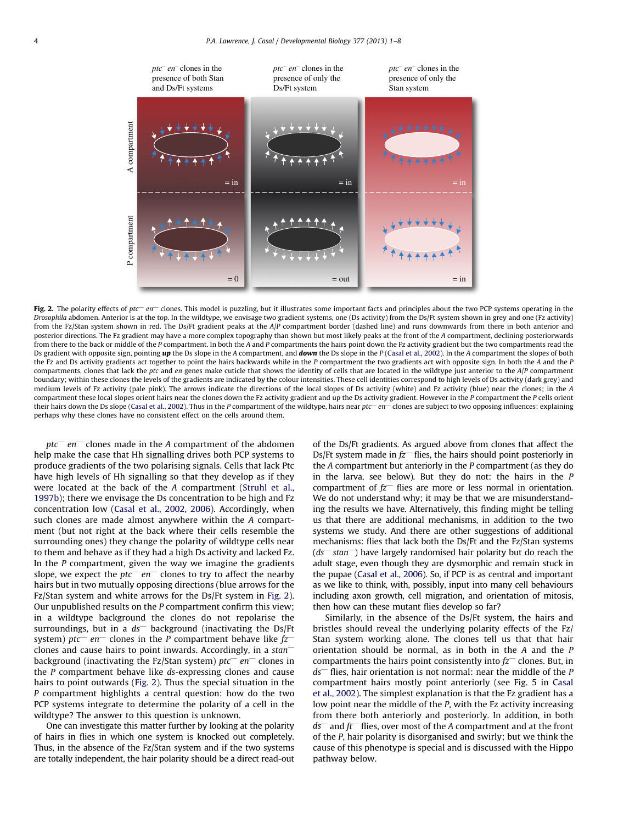<span id="page-3-0"></span>

Fig. 2. The polarity effects of  $ptc^{-}$  en  $-$  clones. This model is puzzling, but it illustrates some important facts and principles about the two PCP systems operating in the Drosophila abdomen. Anterior is at the top. In the wildtype, we envisage two gradient systems, one (Ds activity) from the Ds/Ft system shown in grey and one (Fz activity) from the Fz/Stan system shown in red. The Ds/Ft gradient peaks at the A/P compartment border (dashed line) and runs downwards from there in both anterior and posterior directions. The Fz gradient may have a more complex topography than shown but most likely peaks at the front of the A compartment, declining posteriorwards from there to the back or middle of the P compartment. In both the A and P compartments the hairs point down the Fz activity gradient but the two compartments read the Ds gradient with opposite sign, pointing up the Ds slope in the A compartment, and down the Ds slope in the P ([Casal et al., 2002](#page-6-0)). In the A compartment the slopes of both the Fz and Ds activity gradients act together to point the hairs backwards while in the P compartment the two gradients act with opposite sign. In both the A and the P compartments, clones that lack the ptc and en genes make cuticle that shows the identity of cells that are located in the wildtype just anterior to the A/P compartment boundary; within these clones the levels of the gradients are indicated by the colour intensities. These cell identities correspond to high levels of Ds activity (dark grey) and medium levels of Fz activity (pale pink). The arrows indicate the directions of the local slopes of Ds activity (white) and Fz activity (blue) near the clones; in the A compartment these local slopes orient hairs near the clones down the Fz activity gradient and up the Ds activity gradient. However in the P compartment the P cells orient their hairs down the Ds slope [\(Casal et al., 2002](#page-6-0)). Thus in the P compartment of the wildtype, hairs near  $ptc = en$  clones are subject to two opposing influences; explaining perhaps why these clones have no consistent effect on the cells around them.

 $ptc$ <sup> $-$ </sup> en<sup> $-$ </sup> clones made in the A compartment of the abdomen help make the case that Hh signalling drives both PCP systems to produce gradients of the two polarising signals. Cells that lack Ptc have high levels of Hh signalling so that they develop as if they were located at the back of the A compartment [\(Struhl et al.,](#page-6-0) [1997b\)](#page-6-0); there we envisage the Ds concentration to be high and Fz concentration low [\(Casal et al., 2002](#page-6-0), [2006\)](#page-6-0). Accordingly, when such clones are made almost anywhere within the A compartment (but not right at the back where their cells resemble the surrounding ones) they change the polarity of wildtype cells near to them and behave as if they had a high Ds activity and lacked Fz. In the P compartment, given the way we imagine the gradients slope, we expect the  $ptc$ <sup>-</sup>  $en$ <sup>-</sup> clones to try to affect the nearby hairs but in two mutually opposing directions (blue arrows for the Fz/Stan system and white arrows for the Ds/Ft system in Fig. 2). Our unpublished results on the P compartment confirm this view; in a wildtype background the clones do not repolarise the surroundings, but in a  $ds$ <sup>—</sup> background (inactivating the Ds/Ft system) ptc<sup>-</sup> en<sup>-</sup> clones in the P compartment behave like  $fz$ <sup>-</sup> clones and cause hairs to point inwards. Accordingly, in a stan<sup> $-$ </sup> background (inactivating the Fz/Stan system)  $ptc$ <sup>-</sup>  $en$ <sup>-</sup> clones in the P compartment behave like ds-expressing clones and cause hairs to point outwards (Fig. 2). Thus the special situation in the P compartment highlights a central question: how do the two PCP systems integrate to determine the polarity of a cell in the wildtype? The answer to this question is unknown.

One can investigate this matter further by looking at the polarity of hairs in flies in which one system is knocked out completely. Thus, in the absence of the Fz/Stan system and if the two systems are totally independent, the hair polarity should be a direct read-out of the Ds/Ft gradients. As argued above from clones that affect the Ds/Ft system made in  $fz$ <sup>—</sup> flies, the hairs should point posteriorly in the A compartment but anteriorly in the P compartment (as they do in the larva, see below). But they do not: the hairs in the P compartment of  $f\bar{z}$  flies are more or less normal in orientation. We do not understand why; it may be that we are misunderstanding the results we have. Alternatively, this finding might be telling us that there are additional mechanisms, in addition to the two systems we study. And there are other suggestions of additional mechanisms: flies that lack both the Ds/Ft and the Fz/Stan systems  $(ds<sup>-</sup>stan<sup>-</sup>)$  have largely randomised hair polarity but do reach the adult stage, even though they are dysmorphic and remain stuck in the pupae ([Casal et al., 2006](#page-6-0)). So, if PCP is as central and important as we like to think, with, possibly, input into many cell behaviours including axon growth, cell migration, and orientation of mitosis, then how can these mutant flies develop so far?

Similarly, in the absence of the Ds/Ft system, the hairs and bristles should reveal the underlying polarity effects of the Fz/ Stan system working alone. The clones tell us that that hair orientation should be normal, as in both in the A and the P compartments the hairs point consistently into  $fz$  clones. But, in  $dS$  flies, hair orientation is not normal: near the middle of the P compartment hairs mostly point anteriorly (see Fig. 5 in [Casal](#page-6-0) [et al., 2002](#page-6-0)). The simplest explanation is that the Fz gradient has a low point near the middle of the P, with the Fz activity increasing from there both anteriorly and posteriorly. In addition, in both  $ds$  and ft<sup>-</sup> flies, over most of the A compartment and at the front of the P, hair polarity is disorganised and swirly; but we think the cause of this phenotype is special and is discussed with the Hippo pathway below.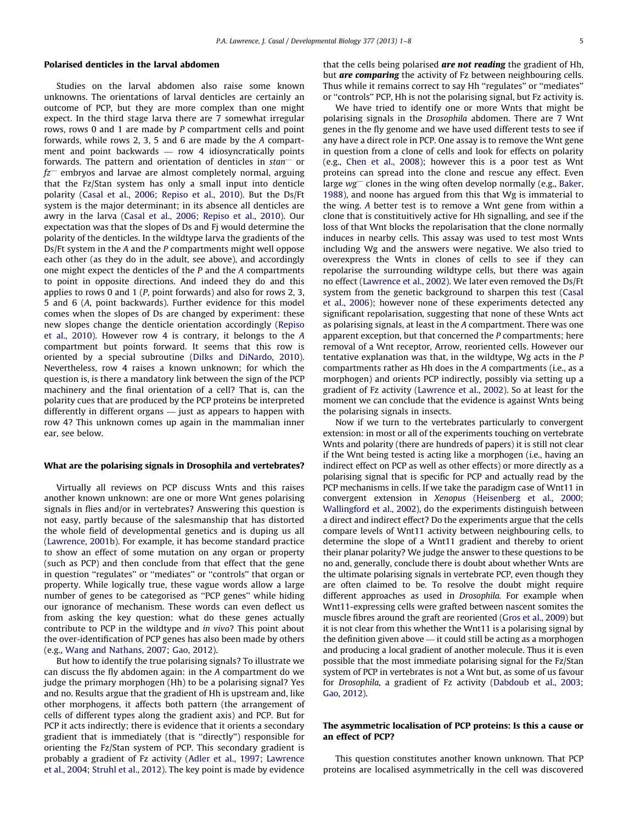# Polarised denticles in the larval abdomen

Studies on the larval abdomen also raise some known unknowns. The orientations of larval denticles are certainly an outcome of PCP, but they are more complex than one might expect. In the third stage larva there are 7 somewhat irregular rows, rows 0 and 1 are made by P compartment cells and point forwards, while rows 2, 3, 5 and 6 are made by the A compartment and point backwards — row 4 idiosyncratically points forwards. The pattern and orientation of denticles in  $stan<sup>-</sup>$  or  $f\bar{z}$  embryos and larvae are almost completely normal, arguing that the Fz/Stan system has only a small input into denticle polarity ([Casal et al., 2006](#page-6-0); [Repiso et al., 2010\)](#page-6-0). But the Ds/Ft system is the major determinant; in its absence all denticles are awry in the larva ([Casal et al., 2006;](#page-6-0) [Repiso et al., 2010](#page-6-0)). Our expectation was that the slopes of Ds and Fj would determine the polarity of the denticles. In the wildtype larva the gradients of the Ds/Ft system in the A and the P compartments might well oppose each other (as they do in the adult, see above), and accordingly one might expect the denticles of the P and the A compartments to point in opposite directions. And indeed they do and this applies to rows 0 and 1 (P, point forwards) and also for rows 2, 3, 5 and 6 (A, point backwards). Further evidence for this model comes when the slopes of Ds are changed by experiment: these new slopes change the denticle orientation accordingly [\(Repiso](#page-6-0) [et al., 2010\)](#page-6-0). However row 4 is contrary, it belongs to the A compartment but points forward. It seems that this row is oriented by a special subroutine [\(Dilks and DiNardo, 2010\)](#page-6-0). Nevertheless, row 4 raises a known unknown; for which the question is, is there a mandatory link between the sign of the PCP machinery and the final orientation of a cell? That is, can the polarity cues that are produced by the PCP proteins be interpreted differently in different organs — just as appears to happen with row 4? This unknown comes up again in the mammalian inner ear, see below.

# What are the polarising signals in Drosophila and vertebrates?

Virtually all reviews on PCP discuss Wnts and this raises another known unknown: are one or more Wnt genes polarising signals in flies and/or in vertebrates? Answering this question is not easy, partly because of the salesmanship that has distorted the whole field of developmental genetics and is duping us all ([Lawrence, 2001b\)](#page-6-0). For example, it has become standard practice to show an effect of some mutation on any organ or property (such as PCP) and then conclude from that effect that the gene in question "regulates" or "mediates" or "controls" that organ or property. While logically true, these vague words allow a large number of genes to be categorised as ''PCP genes'' while hiding our ignorance of mechanism. These words can even deflect us from asking the key question: what do these genes actually contribute to PCP in the wildtype and in vivo? This point about the over-identification of PCP genes has also been made by others (e.g., [Wang and Nathans, 2007;](#page-7-0) [Gao, 2012](#page-6-0)).

But how to identify the true polarising signals? To illustrate we can discuss the fly abdomen again: in the A compartment do we judge the primary morphogen (Hh) to be a polarising signal? Yes and no. Results argue that the gradient of Hh is upstream and, like other morphogens, it affects both pattern (the arrangement of cells of different types along the gradient axis) and PCP. But for PCP it acts indirectly; there is evidence that it orients a secondary gradient that is immediately (that is ''directly'') responsible for orienting the Fz/Stan system of PCP. This secondary gradient is probably a gradient of Fz activity ([Adler et al., 1997;](#page-6-0) [Lawrence](#page-6-0) [et al., 2004;](#page-6-0) [Struhl et al., 2012\)](#page-6-0). The key point is made by evidence that the cells being polarised **are not reading** the gradient of  $Hh$ , but **are comparing** the activity of Fz between neighbouring cells. Thus while it remains correct to say Hh ''regulates'' or ''mediates'' or ''controls'' PCP, Hh is not the polarising signal, but Fz activity is.

We have tried to identify one or more Wnts that might be polarising signals in the Drosophila abdomen. There are 7 Wnt genes in the fly genome and we have used different tests to see if any have a direct role in PCP. One assay is to remove the Wnt gene in question from a clone of cells and look for effects on polarity (e.g., [Chen et al., 2008\)](#page-6-0); however this is a poor test as Wnt proteins can spread into the clone and rescue any effect. Even large  $w\overline{g}$  clones in the wing often develop normally (e.g., [Baker,](#page-6-0) [1988\)](#page-6-0), and noone has argued from this that Wg is immaterial to the wing. A better test is to remove a Wnt gene from within a clone that is constituitively active for Hh signalling, and see if the loss of that Wnt blocks the repolarisation that the clone normally induces in nearby cells. This assay was used to test most Wnts including Wg and the answers were negative. We also tried to overexpress the Wnts in clones of cells to see if they can repolarise the surrounding wildtype cells, but there was again no effect ([Lawrence et al., 2002\)](#page-6-0). We later even removed the Ds/Ft system from the genetic background to sharpen this test ([Casal](#page-6-0) [et al., 2006](#page-6-0)); however none of these experiments detected any significant repolarisation, suggesting that none of these Wnts act as polarising signals, at least in the A compartment. There was one apparent exception, but that concerned the P compartments; here removal of a Wnt receptor, Arrow, reoriented cells. However our tentative explanation was that, in the wildtype, Wg acts in the P compartments rather as Hh does in the A compartments (i.e., as a morphogen) and orients PCP indirectly, possibly via setting up a gradient of Fz activity ([Lawrence et al., 2002](#page-6-0)). So at least for the moment we can conclude that the evidence is against Wnts being the polarising signals in insects.

Now if we turn to the vertebrates particularly to convergent extension: in most or all of the experiments touching on vertebrate Wnts and polarity (there are hundreds of papers) it is still not clear if the Wnt being tested is acting like a morphogen (i.e., having an indirect effect on PCP as well as other effects) or more directly as a polarising signal that is specific for PCP and actually read by the PCP mechanisms in cells. If we take the paradigm case of Wnt11 in convergent extension in Xenopus [\(Heisenberg et al., 2000;](#page-6-0) [Wallingford et al., 2002](#page-7-0)), do the experiments distinguish between a direct and indirect effect? Do the experiments argue that the cells compare levels of Wnt11 activity between neighbouring cells, to determine the slope of a Wnt11 gradient and thereby to orient their planar polarity? We judge the answer to these questions to be no and, generally, conclude there is doubt about whether Wnts are the ultimate polarising signals in vertebrate PCP, even though they are often claimed to be. To resolve the doubt might require different approaches as used in Drosophila. For example when Wnt11-expressing cells were grafted between nascent somites the muscle fibres around the graft are reoriented ([Gros et al., 2009\)](#page-6-0) but it is not clear from this whether the Wnt11 is a polarising signal by the definition given above — it could still be acting as a morphogen and producing a local gradient of another molecule. Thus it is even possible that the most immediate polarising signal for the Fz/Stan system of PCP in vertebrates is not a Wnt but, as some of us favour for Drosophila, a gradient of Fz activity ([Dabdoub et al., 2003;](#page-6-0) [Gao, 2012\)](#page-6-0).

# The asymmetric localisation of PCP proteins: Is this a cause or an effect of PCP?

This question constitutes another known unknown. That PCP proteins are localised asymmetrically in the cell was discovered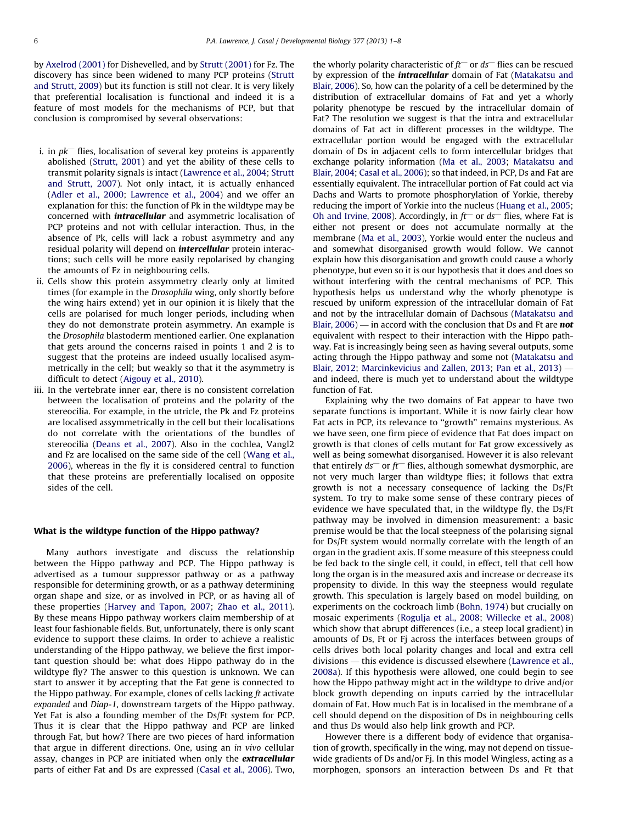by [Axelrod \(2001\)](#page-6-0) for Dishevelled, and by [Strutt \(2001\)](#page-6-0) for Fz. The discovery has since been widened to many PCP proteins ([Strutt](#page-7-0) [and Strutt, 2009](#page-7-0)) but its function is still not clear. It is very likely that preferential localisation is functional and indeed it is a feature of most models for the mechanisms of PCP, but that conclusion is compromised by several observations:

- i. in  $pk$ <sup> $-$ </sup> flies, localisation of several key proteins is apparently abolished ([Strutt, 2001](#page-6-0)) and yet the ability of these cells to transmit polarity signals is intact ([Lawrence et al., 2004;](#page-6-0) [Strutt](#page-6-0) [and Strutt, 2007\)](#page-6-0). Not only intact, it is actually enhanced [\(Adler et al., 2000](#page-6-0); [Lawrence et al., 2004\)](#page-6-0) and we offer an explanation for this: the function of Pk in the wildtype may be concerned with *intracellular* and asymmetric localisation of PCP proteins and not with cellular interaction. Thus, in the absence of Pk, cells will lack a robust asymmetry and any residual polarity will depend on *intercellular* protein interactions; such cells will be more easily repolarised by changing the amounts of Fz in neighbouring cells.
- ii. Cells show this protein assymmetry clearly only at limited times (for example in the Drosophila wing, only shortly before the wing hairs extend) yet in our opinion it is likely that the cells are polarised for much longer periods, including when they do not demonstrate protein asymmetry. An example is the Drosophila blastoderm mentioned earlier. One explanation that gets around the concerns raised in points 1 and 2 is to suggest that the proteins are indeed usually localised asymmetrically in the cell; but weakly so that it the asymmetry is difficult to detect [\(Aigouy et al., 2010](#page-6-0)).
- iii. In the vertebrate inner ear, there is no consistent correlation between the localisation of proteins and the polarity of the stereocilia. For example, in the utricle, the Pk and Fz proteins are localised assymmetrically in the cell but their localisations do not correlate with the orientations of the bundles of stereocilia ([Deans et al., 2007](#page-6-0)). Also in the cochlea, Vangl2 and Fz are localised on the same side of the cell ([Wang et al.,](#page-7-0) [2006](#page-7-0)), whereas in the fly it is considered central to function that these proteins are preferentially localised on opposite sides of the cell.

# What is the wildtype function of the Hippo pathway?

Many authors investigate and discuss the relationship between the Hippo pathway and PCP. The Hippo pathway is advertised as a tumour suppressor pathway or as a pathway responsible for determining growth, or as a pathway determining organ shape and size, or as involved in PCP, or as having all of these properties ([Harvey and Tapon, 2007;](#page-6-0) [Zhao et al., 2011\)](#page-7-0). By these means Hippo pathway workers claim membership of at least four fashionable fields. But, unfortunately, there is only scant evidence to support these claims. In order to achieve a realistic understanding of the Hippo pathway, we believe the first important question should be: what does Hippo pathway do in the wildtype fly? The answer to this question is unknown. We can start to answer it by accepting that the Fat gene is connected to the Hippo pathway. For example, clones of cells lacking  $ft$  activate expanded and Diap-1, downstream targets of the Hippo pathway. Yet Fat is also a founding member of the Ds/Ft system for PCP. Thus it is clear that the Hippo pathway and PCP are linked through Fat, but how? There are two pieces of hard information that argue in different directions. One, using an in vivo cellular assay, changes in PCP are initiated when only the **extracellular** parts of either Fat and Ds are expressed ([Casal et al., 2006\)](#page-6-0). Two, the whorly polarity characteristic of  $ft$ <sup> $-$ </sup> or  $ds$ <sup> $-$ </sup> flies can be rescued by expression of the *intracellular* domain of Fat ([Matakatsu and](#page-6-0) [Blair, 2006\)](#page-6-0). So, how can the polarity of a cell be determined by the distribution of extracellular domains of Fat and yet a whorly polarity phenotype be rescued by the intracellular domain of Fat? The resolution we suggest is that the intra and extracellular domains of Fat act in different processes in the wildtype. The extracellular portion would be engaged with the extracellular domain of Ds in adjacent cells to form intercellular bridges that exchange polarity information ([Ma et al., 2003;](#page-6-0) [Matakatsu and](#page-6-0) [Blair, 2004;](#page-6-0) [Casal et al., 2006](#page-6-0)); so that indeed, in PCP, Ds and Fat are essentially equivalent. The intracellular portion of Fat could act via Dachs and Warts to promote phosphorylation of Yorkie, thereby reducing the import of Yorkie into the nucleus ([Huang et al., 2005;](#page-6-0) [Oh and Irvine, 2008](#page-6-0)). Accordingly, in  $ft$  or  $ds$  flies, where Fat is either not present or does not accumulate normally at the membrane ([Ma et al., 2003](#page-6-0)), Yorkie would enter the nucleus and and somewhat disorganised growth would follow. We cannot explain how this disorganisation and growth could cause a whorly phenotype, but even so it is our hypothesis that it does and does so without interfering with the central mechanisms of PCP. This hypothesis helps us understand why the whorly phenotype is rescued by uniform expression of the intracellular domain of Fat and not by the intracellular domain of Dachsous [\(Matakatsu and](#page-6-0) Blair,  $2006$ ) — in accord with the conclusion that Ds and Ft are **not** equivalent with respect to their interaction with the Hippo pathway. Fat is increasingly being seen as having several outputs, some acting through the Hippo pathway and some not [\(Matakatsu and](#page-6-0) [Blair, 2012;](#page-6-0) [Marcinkevicius and Zallen, 2013;](#page-6-0) [Pan et al., 2013](#page-6-0)) and indeed, there is much yet to understand about the wildtype function of Fat.

Explaining why the two domains of Fat appear to have two separate functions is important. While it is now fairly clear how Fat acts in PCP, its relevance to ''growth'' remains mysterious. As we have seen, one firm piece of evidence that Fat does impact on growth is that clones of cells mutant for Fat grow excessively as well as being somewhat disorganised. However it is also relevant that entirely  $ds$ <sup>-</sup> or  $ft$ <sup>-</sup> flies, although somewhat dysmorphic, are not very much larger than wildtype flies; it follows that extra growth is not a necessary consequence of lacking the Ds/Ft system. To try to make some sense of these contrary pieces of evidence we have speculated that, in the wildtype fly, the Ds/Ft pathway may be involved in dimension measurement: a basic premise would be that the local steepness of the polarising signal for Ds/Ft system would normally correlate with the length of an organ in the gradient axis. If some measure of this steepness could be fed back to the single cell, it could, in effect, tell that cell how long the organ is in the measured axis and increase or decrease its propensity to divide. In this way the steepness would regulate growth. This speculation is largely based on model building, on experiments on the cockroach limb [\(Bohn, 1974\)](#page-6-0) but crucially on mosaic experiments [\(Rogulja et al., 2008](#page-6-0); [Willecke et al., 2008\)](#page-7-0) which show that abrupt differences (i.e., a steep local gradient) in amounts of Ds, Ft or Fj across the interfaces between groups of cells drives both local polarity changes and local and extra cell divisions — this evidence is discussed elsewhere [\(Lawrence et al.,](#page-6-0) [2008a](#page-6-0)). If this hypothesis were allowed, one could begin to see how the Hippo pathway might act in the wildtype to drive and/or block growth depending on inputs carried by the intracellular domain of Fat. How much Fat is in localised in the membrane of a cell should depend on the disposition of Ds in neighbouring cells and thus Ds would also help link growth and PCP.

However there is a different body of evidence that organisation of growth, specifically in the wing, may not depend on tissuewide gradients of Ds and/or Fj. In this model Wingless, acting as a morphogen, sponsors an interaction between Ds and Ft that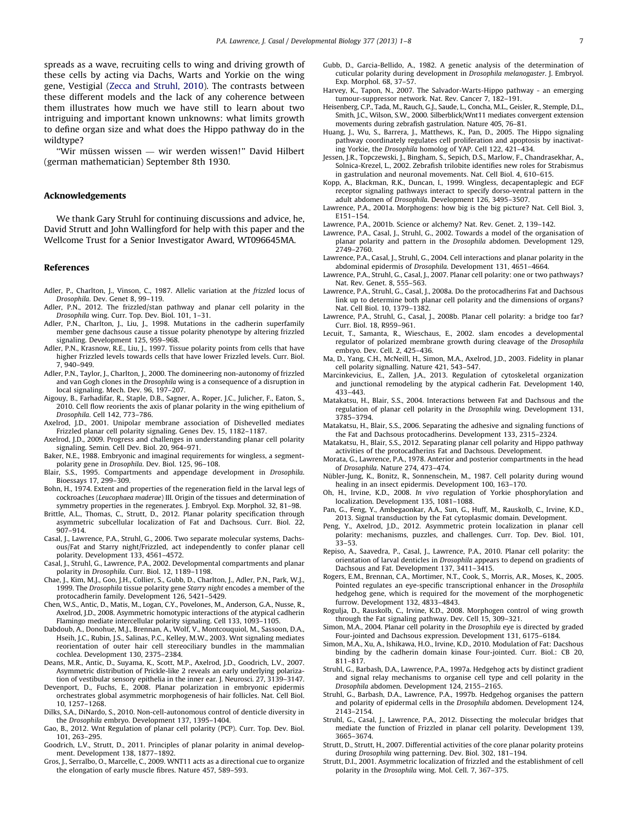<span id="page-6-0"></span>spreads as a wave, recruiting cells to wing and driving growth of these cells by acting via Dachs, Warts and Yorkie on the wing gene, Vestigial ([Zecca and Struhl, 2010](#page-7-0)). The contrasts between these different models and the lack of any coherence between them illustrates how much we have still to learn about two intriguing and important known unknowns: what limits growth to define organ size and what does the Hippo pathway do in the wildtype?

"Wir müssen wissen — wir werden wissen!" David Hilbert (german mathematician) September 8th 1930.

# Acknowledgements

We thank Gary Struhl for continuing discussions and advice, he, David Strutt and John Wallingford for help with this paper and the Wellcome Trust for a Senior Investigator Award, WT096645MA.

#### References

- Adler, P., Charlton, J., Vinson, C., 1987. Allelic variation at the frizzled locus of Drosophila. Dev. Genet 8, 99–119.
- Adler, P.N., 2012. The frizzled/stan pathway and planar cell polarity in the Drosophila wing. Curr. Top. Dev. Biol. 101, 1–31.
- Adler, P.N., Charlton, J., Liu, J., 1998. Mutations in the cadherin superfamily member gene dachsous cause a tissue polarity phenotype by altering frizzled signaling. Development 125, 959–968.
- Adler, P.N., Krasnow, R.E., Liu, J., 1997. Tissue polarity points from cells that have higher Frizzled levels towards cells that have lower Frizzled levels. Curr. Biol. 7, 940–949.
- Adler, P.N., Taylor, J., Charlton, J., 2000. The domineering non-autonomy of frizzled and van Gogh clones in the Drosophila wing is a consequence of a disruption in local signaling. Mech. Dev. 96, 197–207.
- Aigouy, B., Farhadifar, R., Staple, D.B., Sagner, A., Roper, J.C., Julicher, F., Eaton, S., 2010. Cell flow reorients the axis of planar polarity in the wing epithelium of Drosophila. Cell 142, 773–786.
- Axelrod, J.D., 2001. Unipolar membrane association of Dishevelled mediates Frizzled planar cell polarity signaling. Genes Dev. 15, 1182–1187.
- Axelrod, J.D., 2009. Progress and challenges in understanding planar cell polarity signaling. Semin. Cell Dev. Biol. 20, 964–971.
- Baker, N.E., 1988. Embryonic and imaginal requirements for wingless, a segmentpolarity gene in Drosophila. Dev. Biol. 125, 96–108.
- Blair, S.S., 1995. Compartments and appendage development in Drosophila. Bioessays 17, 299–309.
- Bohn, H., 1974. Extent and properties of the regeneration field in the larval legs of cockroaches (Leucophaea maderae) III. Origin of the tissues and determination of
- symmetry properties in the regenerates. J. Embryol. Exp. Morphol. 32, 81–98. Brittle, A.L., Thomas, C., Strutt, D., 2012. Planar polarity specification through asymmetric subcellular localization of Fat and Dachsous. Curr. Biol. 22, 907–914.
- Casal, J., Lawrence, P.A., Struhl, G., 2006. Two separate molecular systems, Dachsous/Fat and Starry night/Frizzled, act independently to confer planar cell polarity. Development 133, 4561–4572.
- Casal, J., Struhl, G., Lawrence, P.A., 2002. Developmental compartments and planar polarity in Drosophila. Curr. Biol. 12, 1189–1198.
- Chae, J., Kim, M.J., Goo, J.H., Collier, S., Gubb, D., Charlton, J., Adler, P.N., Park, W.J., 1999. The Drosophila tissue polarity gene Starry night encodes a member of the protocadherin family. Development 126, 5421–5429.
- Chen, W.S., Antic, D., Matis, M., Logan, C.Y., Povelones, M., Anderson, G.A., Nusse, R., Axelrod, J.D., 2008. Asymmetric homotypic interactions of the atypical cadherin Flamingo mediate intercellular polarity signaling. Cell 133, 1093–1105.
- Dabdoub, A., Donohue, M.J., Brennan, A., Wolf, V., Montcouquiol, M., Sassoon, D.A., Hseih, J.C., Rubin, J.S., Salinas, P.C., Kelley, M.W., 2003. Wnt signaling mediates reorientation of outer hair cell stereociliary bundles in the mammalian cochlea. Development 130, 2375–2384.
- Deans, M.R., Antic, D., Suyama, K., Scott, M.P., Axelrod, J.D., Goodrich, L.V., 2007. Asymmetric distribution of Prickle-like 2 reveals an early underlying polarization of vestibular sensory epithelia in the inner ear. J. Neurosci. 27, 3139–3147.
- Devenport, D., Fuchs, E., 2008. Planar polarization in embryonic epidermis orchestrates global asymmetric morphogenesis of hair follicles. Nat. Cell Biol. 10, 1257–1268.
- Dilks, S.A., DiNardo, S., 2010. Non-cell-autonomous control of denticle diversity in the Drosophila embryo. Development 137, 1395–1404.
- Gao, B., 2012. Wnt Regulation of planar cell polarity (PCP). Curr. Top. Dev. Biol. 101, 263–295.
- Goodrich, L.V., Strutt, D., 2011. Principles of planar polarity in animal development. Development 138, 1877–1892.
- Gros, J., Serralbo, O., Marcelle, C., 2009. WNT11 acts as a directional cue to organize the elongation of early muscle fibres. Nature 457, 589–593.
- Gubb, D., Garcia-Bellido, A., 1982. A genetic analysis of the determination of cuticular polarity during development in Drosophila melanogaster. J. Embryol. Exp. Morphol. 68, 37–57.
- Harvey, K., Tapon, N., 2007. The Salvador-Warts-Hippo pathway an emerging tumour-suppressor network. Nat. Rev. Cancer 7, 182–191.
- Heisenberg, C.P., Tada, M., Rauch, G.J., Saude, L., Concha, M.L., Geisler, R., Stemple, D.L., Smith, J.C., Wilson, S.W., 2000. Silberblick/Wnt11 mediates convergent extension movements during zebrafish gastrulation. Nature 405, 76–81.
- Huang, J., Wu, S., Barrera, J., Matthews, K., Pan, D., 2005. The Hippo signaling pathway coordinately regulates cell proliferation and apoptosis by inactivating Yorkie, the Drosophila homolog of YAP. Cell 122, 421–434.
- Jessen, J.R., Topczewski, J., Bingham, S., Sepich, D.S., Marlow, F., Chandrasekhar, A., Solnica-Krezel, L., 2002. Zebrafish trilobite identifies new roles for Strabismus in gastrulation and neuronal movements. Nat. Cell Biol. 4, 610–615.
- Kopp, A., Blackman, R.K., Duncan, I., 1999. Wingless, decapentaplegic and EGF receptor signaling pathways interact to specify dorso-ventral pattern in the adult abdomen of Drosophila. Development 126, 3495–3507.
- Lawrence, P.A., 2001a. Morphogens: how big is the big picture? Nat. Cell Biol. 3, E151–154.
- Lawrence, P.A., 2001b. Science or alchemy? Nat. Rev. Genet. 2, 139–142.
- Lawrence, P.A., Casal, J., Struhl, G., 2002. Towards a model of the organisation of planar polarity and pattern in the Drosophila abdomen. Development 129, 2749–2760.
- Lawrence, P.A., Casal, J., Struhl, G., 2004. Cell interactions and planar polarity in the abdominal epidermis of Drosophila. Development 131, 4651–4664.
- Lawrence, P.A., Struhl, G., Casal, J., 2007. Planar cell polarity: one or two pathways? Nat. Rev. Genet. 8, 555–563.
- Lawrence, P.A., Struhl, G., Casal, J., 2008a. Do the protocadherins Fat and Dachsous link up to determine both planar cell polarity and the dimensions of organs? Nat. Cell Biol. 10, 1379–1382.
- Lawrence, P.A., Struhl, G., Casal, J., 2008b. Planar cell polarity: a bridge too far? Curr. Biol. 18, R959–961.
- Lecuit, T., Samanta, R., Wieschaus, E., 2002. slam encodes a developmental regulator of polarized membrane growth during cleavage of the Drosophila embryo. Dev. Cell. 2, 425–436.
- Ma, D., Yang, C.H., McNeill, H., Simon, M.A., Axelrod, J.D., 2003. Fidelity in planar cell polarity signalling. Nature 421, 543–547.
- Marcinkevicius, E., Zallen, J.A., 2013. Regulation of cytoskeletal organization and junctional remodeling by the atypical cadherin Fat. Development 140, 433–443.
- Matakatsu, H., Blair, S.S., 2004. Interactions between Fat and Dachsous and the regulation of planar cell polarity in the Drosophila wing. Development 131, 3785–3794.
- Matakatsu, H., Blair, S.S., 2006. Separating the adhesive and signaling functions of the Fat and Dachsous protocadherins. Development 133, 2315–2324.
- Matakatsu, H., Blair, S.S., 2012. Separating planar cell polarity and Hippo pathway activities of the protocadherins Fat and Dachsous. Development.
- Morata, G., Lawrence, P.A., 1978. Anterior and posterior compartments in the head of Drosophila. Nature 274, 473–474.
- Nübler-Jung, K., Bonitz, R., Sonnenschein, M., 1987. Cell polarity during wound healing in an insect epidermis. Development 100, 163–170.
- Oh, H., Irvine, K.D., 2008. In vivo regulation of Yorkie phosphorylation and localization. Development 135, 1081–1088.
- Pan, G., Feng, Y., Ambegaonkar, A.A., Sun, G., Huff, M., Rauskolb, C., Irvine, K.D., 2013. Signal transduction by the Fat cytoplasmic domain. Development.
- Peng, Y., Axelrod, J.D., 2012. Asymmetric protein localization in planar cell polarity: mechanisms, puzzles, and challenges. Curr. Top. Dev. Biol. 101, 33–53.
- Repiso, A., Saavedra, P., Casal, J., Lawrence, P.A., 2010. Planar cell polarity: the orientation of larval denticles in Drosophila appears to depend on gradients of Dachsous and Fat. Development 137, 3411–3415.
- Rogers, E.M., Brennan, C.A., Mortimer, N.T., Cook, S., Morris, A.R., Moses, K., 2005. Pointed regulates an eye-specific transcriptional enhancer in the Drosophila hedgehog gene, which is required for the movement of the morphogenetic furrow. Development 132, 4833–4843.
- Rogulja, D., Rauskolb, C., Irvine, K.D., 2008. Morphogen control of wing growth through the Fat signaling pathway. Dev. Cell 15, 309–321.
- Simon, M.A., 2004. Planar cell polarity in the Drosophila eye is directed by graded Four-jointed and Dachsous expression. Development 131, 6175–6184.
- Simon, M.A., Xu, A., Ishikawa, H.O., Irvine, K.D., 2010. Modulation of Fat: Dacshous binding by the cadherin domain kinase Four-jointed. Curr. Biol.: CB 20, 811–817.
- Struhl, G., Barbash, D.A., Lawrence, P.A., 1997a. Hedgehog acts by distinct gradient and signal relay mechanisms to organise cell type and cell polarity in the Drosophila abdomen. Development 124, 2155–2165.
- Struhl, G., Barbash, D.A., Lawrence, P.A., 1997b. Hedgehog organises the pattern and polarity of epidermal cells in the Drosophila abdomen. Development 124, 2143–2154.
- Struhl, G., Casal, J., Lawrence, P.A., 2012. Dissecting the molecular bridges that mediate the function of Frizzled in planar cell polarity. Development 139, 3665–3674.
- Strutt, D., Strutt, H., 2007. Differential activities of the core planar polarity proteins during Drosophila wing patterning. Dev. Biol. 302, 181–194.
- Strutt, D.I., 2001. Asymmetric localization of frizzled and the establishment of cell polarity in the Drosophila wing. Mol. Cell. 7, 367–375.